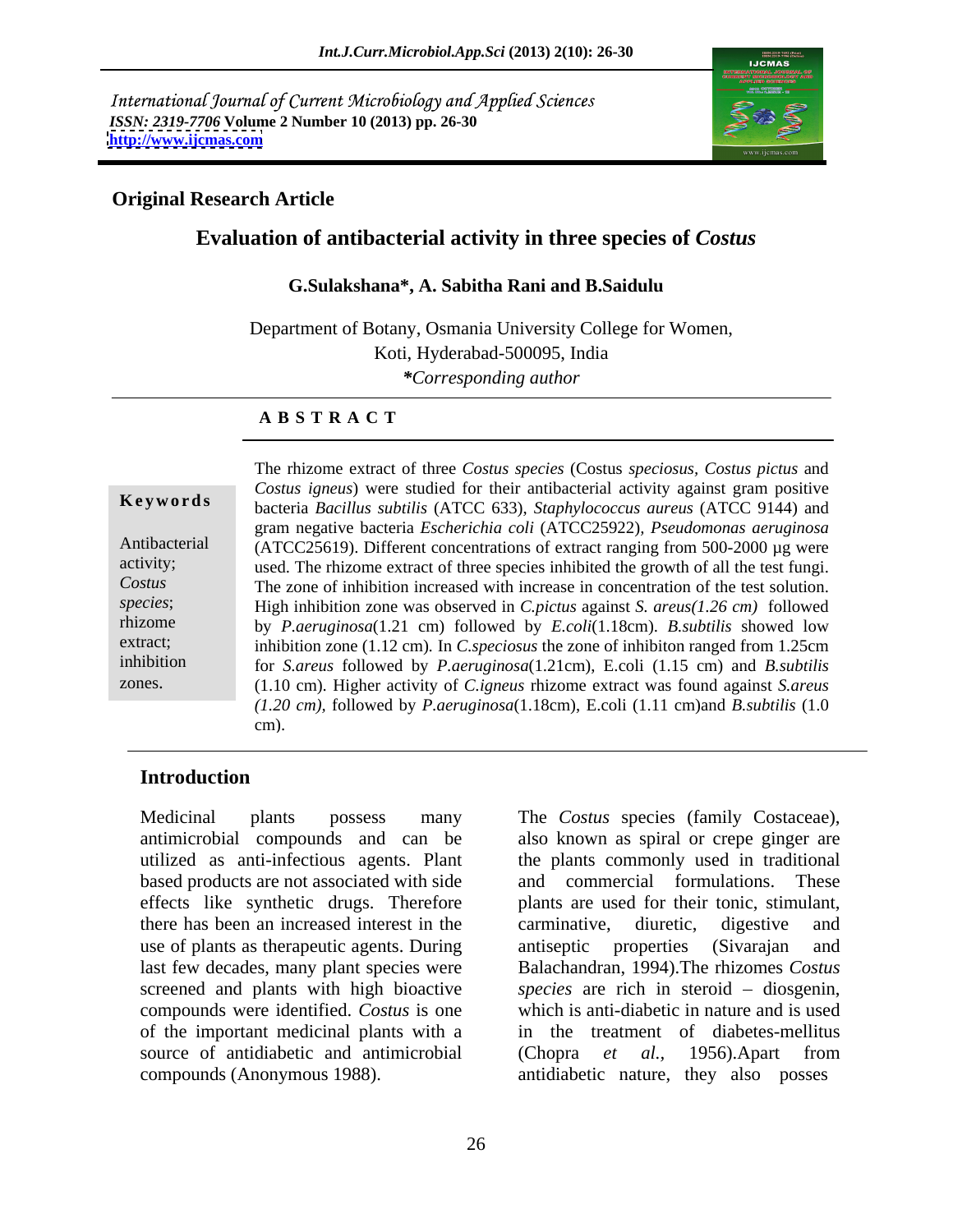International Journal of Current Microbiology and Applied Sciences *ISSN: 2319-7706* **Volume 2 Number 10 (2013) pp. 26-30 <http://www.ijcmas.com>**



### **Original Research Article**

## **Evaluation of antibacterial activity in three species of** *Costus*

### **G.Sulakshana\*, A. Sabitha Rani and B.Saidulu**

Department of Botany, Osmania University College for Women, Koti, Hyderabad-500095, India *\*Corresponding author* 

### **A B S T R A C T**

**Ke ywo rds** bacteria *Bacillus subtilis* (ATCC 633), *Staphylococcus aureus* (ATCC 9144) and Antibacterial (ATCC25619). Different concentrations of extract ranging from 500-2000 µg were activity; used. The rhizome extract of three species inhibited the growth of all the test fungi. *Costus*  The zone of inhibition increased with increase in concentration of the test solution. *species*; High inhibition zone was observed in *C.pictus* against *S. areus(1.26 cm)* followed rhizome by *P.aeruginosa*(1.21 cm) followed by *E.coli*(1.18cm). *B.subtilis* showed low extract; inhibition zone (1.12 cm). In *C.speciosus* the zone of inhibiton ranged from 1.25cm inhibition for *S.areus* followed by *P.aeruginosa*(1.21cm), E.coli (1.15 cm) and *B.subtilis* The rhizome extract of three *Costus species* (Costus *speciosus, Costus pictus* and<br> *Costus igneus*) were studied for their antibacterial activity against gram positive<br>
bacteria *Bacillus subtilis* (ATCC 633), *Staphylo Costus igneus*) were studied for their antibacterial activity against gram positive gram negative bacteria *Escherichia coli* (ATCC25922)*, Pseudomonas aeruginosa* (1.10 cm). Higher activity of *C.igneus* rhizome extract was found against *S.areus (1.20 cm),* followed by *P.aeruginosa*(1.18cm), E.coli (1.11 cm)and *B.subtilis* (1.0 cm).

### **Introduction**

Medicinal plants possess many The *Costus* species (family Costaceae), effects like synthetic drugs. Therefore there has been an increased interest in the use of plants as therapeutic agents. During antiseptic properties (Sivarajan and compounds were identified. *Costus* is one of the important medicinal plants with a source of antidiabetic and antimicrobial (Chopra et al., 1956). Apart from

antimicrobial compounds and can be also known as spiral or crepe ginger are utilized as anti-infectious agents. Plant the plants commonly used in traditional based products are not associated with side and commercial formulations. These last few decades, many plant species were Balachandran, 1994).The rhizomes *Costus*  screened and plants with high bioactive *species* are rich in steroid – diosgenin, compounds (Anonymous 1988). antidiabetic nature, they also posses plants are used for their tonic, stimulant, carminative, diuretic, digestive and antiseptic properties (Sivarajan and which is anti-diabetic in nature and is used in the treatment of diabetes-mellitus (Chopra *et al.,* 1956).Apart from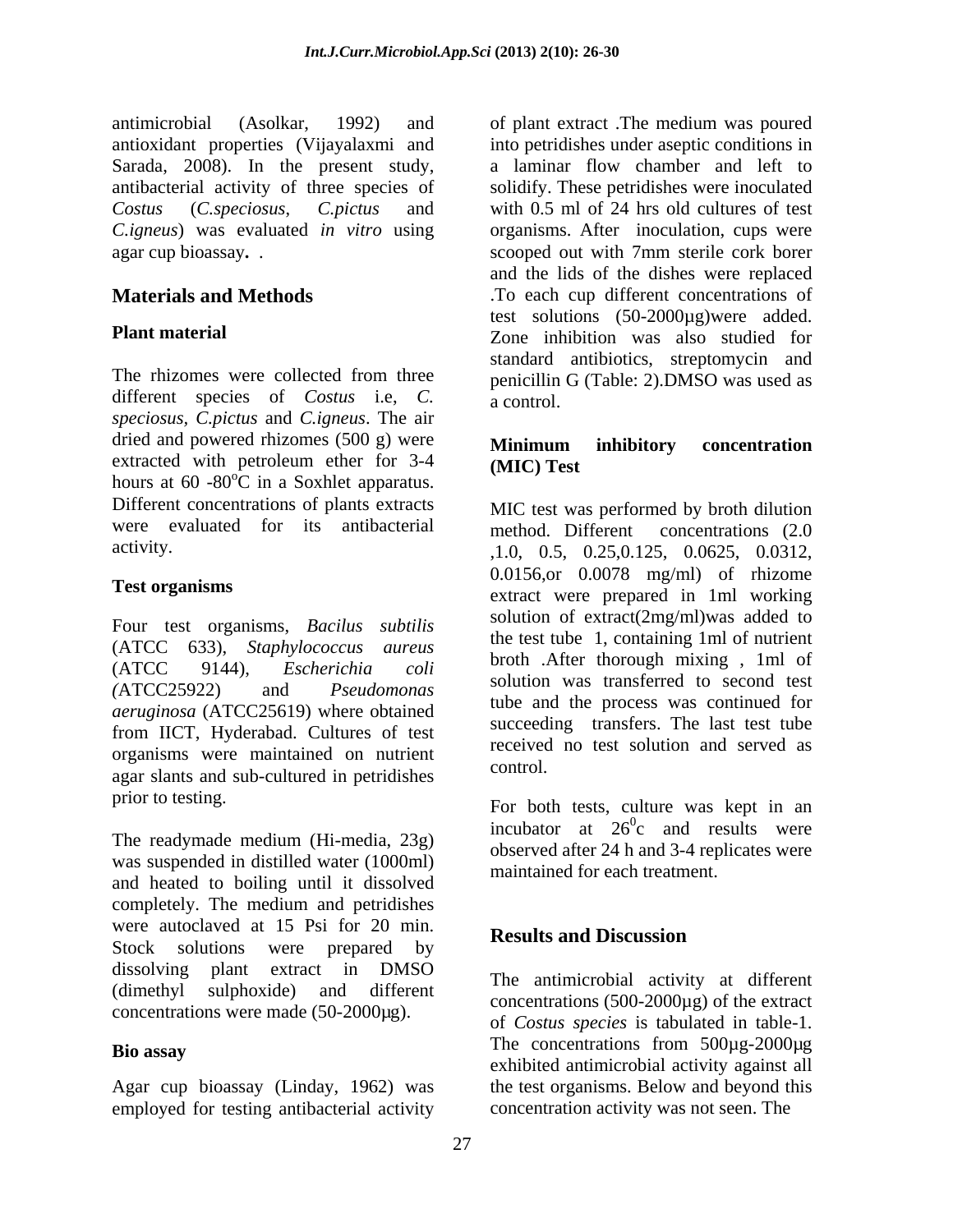antioxidant properties (Vijayalaxmi and Sarada, 2008). In the present study,

different species of *Costus* i.e, *C*. **a** *a* control. *speciosus, C.pictus* and *C.igneus*. The air dried and powered rhizomes (500 g) were<br> **Minimum inhibitory**concentration extracted with petroleum ether for 3-4 (MIC) Test hours at  $60 - 80^{\circ}$ C in a Soxhlet apparatus. Different concentrations of plants extracts were evaluated for its antibacterial method. Different concentrations (2.0)

Four test organisms, *Bacilus subtilis* (ATCC 633), *Staphylococcus aureus aeruginosa* (ATCC25619) where obtained from IICT, Hyderabad. Cultures of test organisms were maintained on nutrient received agar slants and sub-cultured in petridishes

The readymade medium (Hi-media, 23g) was suspended in distilled water (1000ml) and heated to boiling until it dissolved completely. The medium and petridishes were autoclaved at 15 Psi for 20 min.<br>Results and Discussion Stock solutions were prepared by **EXISTING AND DESCUSSION** dissolving plant extract in DMSO  $(\text{dimethyl} \quad \text{subboxed})$  and different  $(\text{S00 2000})$  of the extreme concentrations were made (50-2000µg).

employed for testing antibacterial activity

antimicrobial (Asolkar, 1992) and of plant extract .The medium was poured antibacterial activity of three species of solidify. These petridishes were inoculated *Costus* (*C.speciosus*, *C.pictus* and with 0.5 ml of 24 hrs old cultures of test *C.igneus*) was evaluated *in vitro* using organisms. After inoculation, cups were agar cup bioassay**.** . scooped out with 7mm sterile cork borer **Materials and Methods** To each cup different concentrations of **Plant material Plant material Example 2** Cone inhibition was also studied for The rhizomes were collected from three  $\qquad$  nenicillin G (Table: 2) DMSO was used as into petridishes under aseptic conditions in a laminar flow chamber and left to and the lids of the dishes were replaced test solutions (50-2000µg)were added. standard antibiotics, streptomycin and penicillin G (Table: 2).DMSO was used as a control.

## **Minimum inhibitory concentration (MIC) Test**

activity. 1.0, 0.5, 0.25, 0.125, 0.0625, 0.0312, **Test organisms** extract were prepared in 1ml working (ATCC 9144), *Escherichia coli (*ATCC25922) and *Pseudomonas*  MIC test was performed by broth dilution method. Different concentrations (2.0 0.0156,or 0.0078 mg/ml) of rhizome solution of extract(2mg/ml)was added to the test tube 1, containing 1ml of nutrient broth .After thorough mixing , 1ml of solution was transferred to second test tube and the process was continued for succeeding transfers. The last test tube received no test solution and served as control.

prior to testing. For both tests, culture was kept in an incubator at  $26^{\circ}$  and results were c and results were observed after 24 h and 3-4 replicates were maintained for each treatment.

# **Results and Discussion**

**Bio assay** and the concentrations from  $\frac{1}{2}$  July 1.1 and  $\frac{1}{2}$  are concentrations from  $\frac{1}{2}$   $\frac{1}{2}$  and  $\frac{1}{2}$  and  $\frac{1}{2}$  and  $\frac{1}{2}$  and  $\frac{1}{2}$  and  $\frac{1}{2}$  and  $\frac{1}{2}$  and  $\frac{1}{2}$  and  $\frac$ Agar cup bioassay (Linday, 1962) was the test organisms. Below and beyond this The antimicrobial activity at different concentrations  $(500-2000\mu g)$  of the extract of *Costus species* is tabulated in table-1. The concentrations from 500 $\mu$ g-2000 $\mu$ g exhibited antimicrobial activity against all concentration activity was not seen. The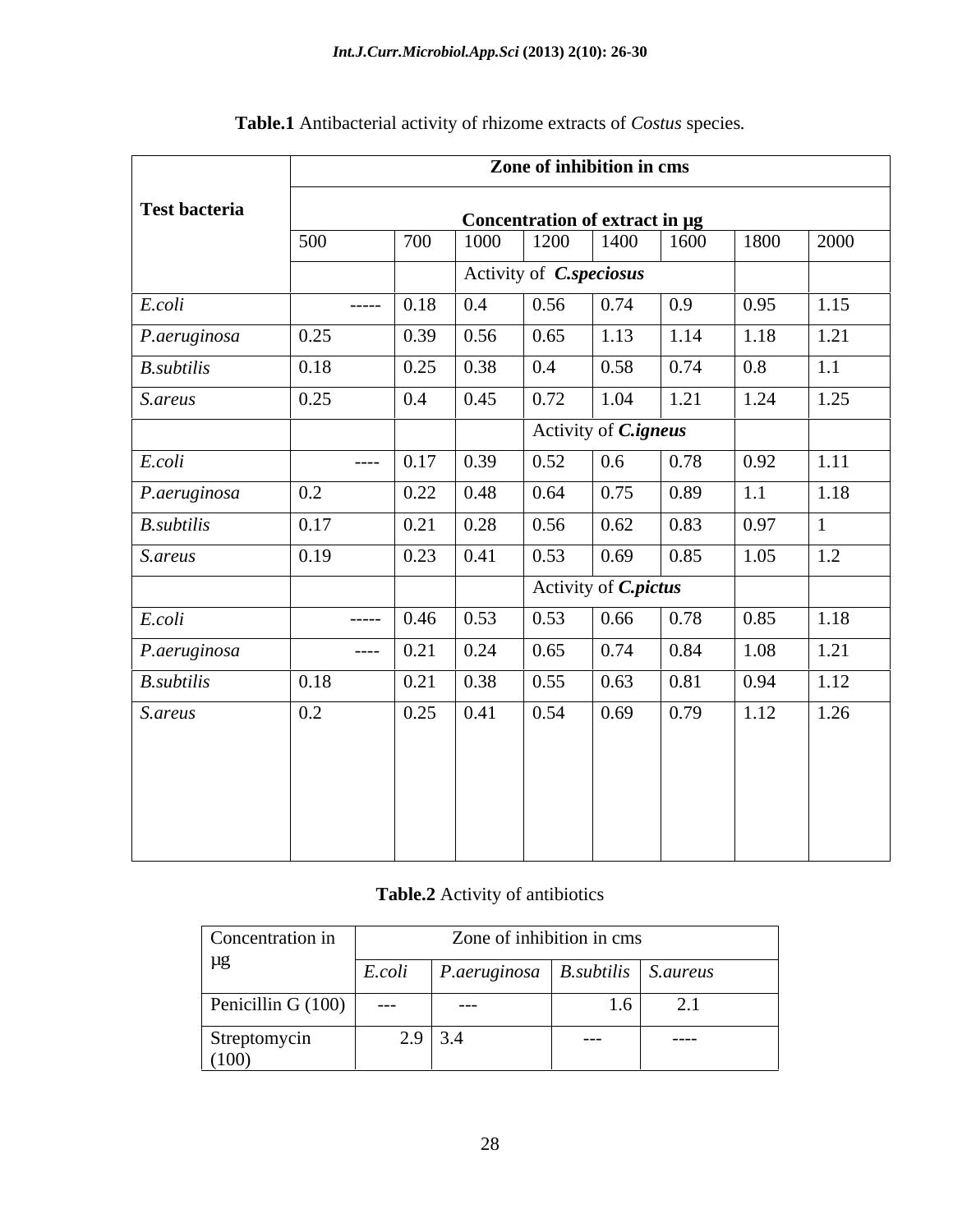|                      | Zone of inhibition in cms |                      |      |                    |                                |                                                                     |      |      |      |
|----------------------|---------------------------|----------------------|------|--------------------|--------------------------------|---------------------------------------------------------------------|------|------|------|
| Test bacteria        |                           |                      |      |                    | Concentration of extract in µg |                                                                     |      |      |      |
|                      | 500                       |                      | 700  | 1000               | 1200                           | 1400                                                                | 1600 | 1800 | 2000 |
|                      |                           |                      |      |                    | Activity of <i>C.speciosus</i> |                                                                     |      |      |      |
| E. coli              |                           |                      | 0.18 | $\vert 0.4 \vert$  | 0.56                           | $\begin{array}{ c c c c c } \hline 0.74 & 0.9 \ \hline \end{array}$ |      | 0.95 | 1.15 |
| P. aeruginosa        | 0.25                      |                      | 0.39 | 0.56               | 0.65                           | 1.13                                                                | 1.14 | 1.18 | 1.21 |
| <i>B.subtilis</i>    | 0.18                      |                      | 0.25 | 0.38               | 0.4                            | 0.58                                                                | 0.74 | 0.8  | 1.1  |
| S.areus              | 0.25                      |                      | 0.4  | 0.45               | 0.72                           | 1.04                                                                | 1.21 | 1.24 | 1.25 |
|                      |                           |                      |      |                    |                                | Activity of <i>C.igneus</i>                                         |      |      |      |
| E.coli               |                           | $---$                | 0.17 | $\vert 0.39 \vert$ | 0.52                           | $\boxed{0.6}$                                                       | 0.78 | 0.92 | 1.11 |
| P.aeruginosa         | 0.2                       |                      | 0.22 | $\vert 0.48 \vert$ | 0.64                           | 0.75                                                                | 0.89 | 1.1  | 1.18 |
| $B.$ <i>subtilis</i> | 0.17                      |                      | 0.21 | 0.28               | 0.56                           | 0.62                                                                | 0.83 | 0.97 |      |
| S.areus              | 0.19                      |                      | 0.23 | 0.41               | 0.53                           | 0.69                                                                | 0.85 | 1.05 | 1.2  |
|                      |                           |                      |      |                    |                                | Activity of <i>C.pictus</i>                                         |      |      |      |
| E.coli               |                           |                      | 0.46 | 0.53               | $\vert 0.53 \vert$             | 0.66                                                                | 0.78 | 0.85 | 1.18 |
| P.aeruginosa         |                           | $\sim$ $\sim$ $\sim$ | 0.21 | 0.24               | $\vert 0.65 \vert$             | 0.74                                                                | 0.84 | 1.08 | 1.21 |
| <i>B.subtilis</i>    | 0.18                      |                      | 0.21 | 0.38               | 0.55                           | 0.63                                                                | 0.81 | 0.94 | 1.12 |
| S.areus              | 0.2                       |                      | 0.25 | $\boxed{0.41}$     | $\boxed{0.54}$                 | 0.69                                                                | 0.79 | 1.12 | 1.26 |
|                      |                           |                      |      |                    |                                |                                                                     |      |      |      |
|                      |                           |                      |      |                    |                                |                                                                     |      |      |      |
|                      |                           |                      |      |                    |                                |                                                                     |      |      |      |
|                      |                           |                      |      |                    |                                |                                                                     |      |      |      |

# **Table.1** Antibacterial activity of rhizome extracts of *Costus* species*.*

## **Table.2** Activity of antibiotics

| Concentration in      | Zone of inhibition in cms |              |                                   |            |  |
|-----------------------|---------------------------|--------------|-----------------------------------|------------|--|
| $\mu$ g               | E.coli                    | P.aeruginosa | $\mid$ B.subtilis $\mid$ S.aureus |            |  |
| Penicillin G (100)    | ———                       | ----         | 1.0                               | $\sim$ . 1 |  |
| Streptomycin<br>(100) |                           | $2.9$ 3.4    | ----                              | -----      |  |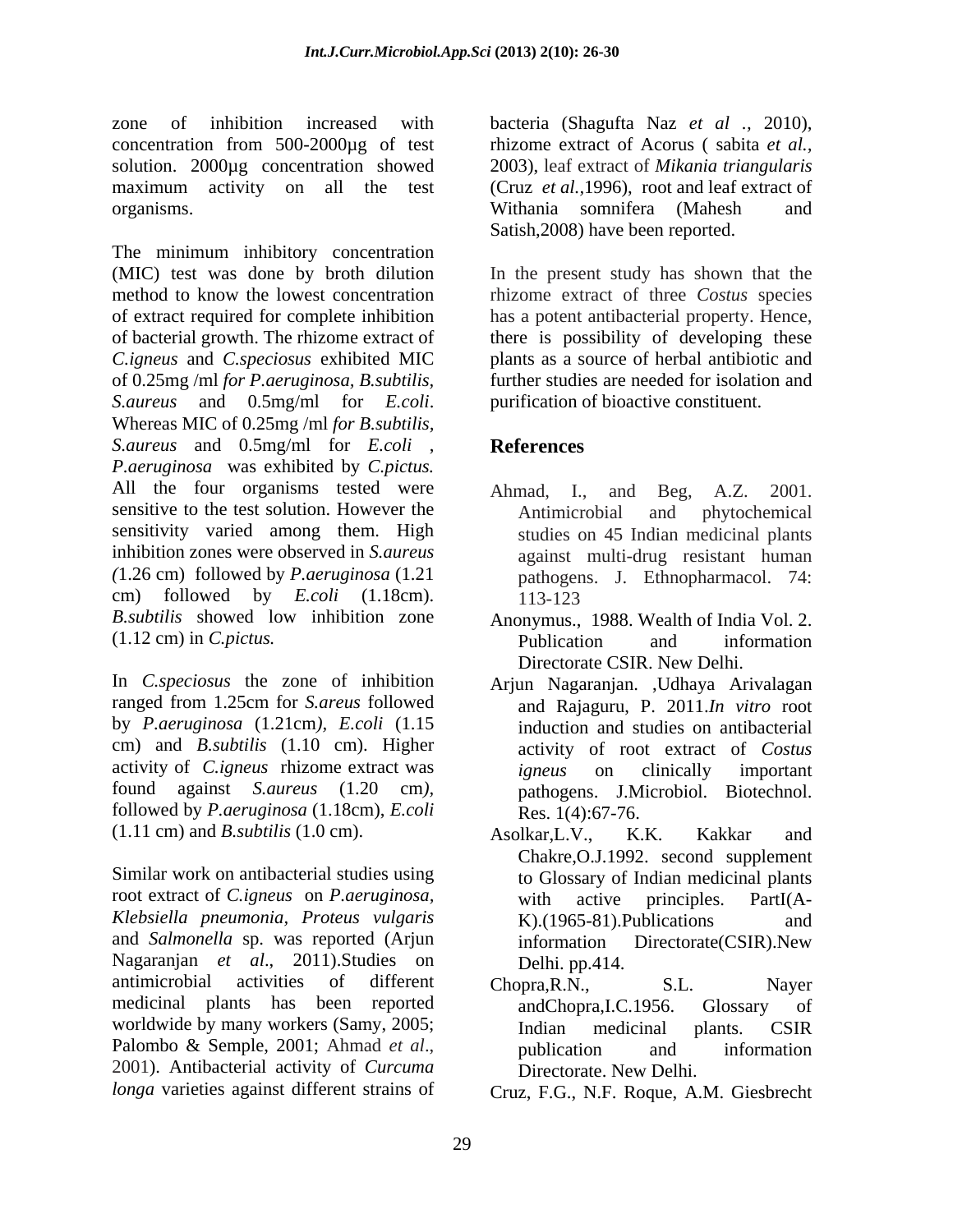zone of inhibition increased with bacteria (Shagufta Naz *et al .,* 2010), concentration from 500-2000µg of test rhizome extract of Acorus ( sabita *et al.,* solution. 2000µg concentration showed 2003), leaf extract of *Mikania triangularis* maximum activity on all the test (Cruz *et al.,*1996), root and leaf extract of organisms. **Example 20** organisms. With a some idea of the solution of the solution of the solution of the solution of the solution of the solution of the solution of the solution of the solution of the solution of the sol

The minimum inhibitory concentration (MIC) test was done by broth dilution In the present study has shown that the method to know the lowest concentration rhizome extract of three *Costus* species of extract required for complete inhibition has a potent antibacterial property. Hence, of bacterial growth. The rhizome extract of there is possibility of developing these *C.igneus* and *C.speciosus* exhibited MIC of 0.25mg /ml *for P.aeruginosa, B.subtilis,* further studies are needed for isolation and *S.aureus* and 0.5mg/ml for *E.coli*. Whereas MIC of 0.25mg /ml *for B.subtilis, S.aureus* and 0.5mg/ml for *E.coli* , *P.aeruginosa* was exhibited by *C.pictus.*  All the four organisms tested were Ahmad, I., and Beg, A.Z. 2001. sensitive to the test solution. However the **Antimicrobial** and **phytochemical** sensitivity varied among them. High inhibition zones were observed in *S.aureus* against multi-drug resistant human *(*1.26 cm) followed by *P.aeruginosa* (1.21 pathogens. J. Ethnopharmacol. 74: cm) followed by *E.coli* (1.18cm). *B.subtilis* showed low inhibition zone (1.12 cm) in *C.pictus.*

In *C.speciosus* the zone of inhibition Arjun Nagaranjan. ,Udhaya Arivalagan ranged from 1.25cm for *S.areus* followed by *P.aeruginosa* (1.21cm*), E.coli* (1.15 cm) and *B.subtilis* (1.10 cm). Higher activity of *C.igneus* rhizome extract was *igneus* on clinically important found against *S.aureus* (1.20 cm*),*  followed by *P.aeruginosa* (1.18cm), *E.coli* (1.11 cm) and *B.subtilis* (1.0 cm).

Similar work on antibacterial studies using root extract of *C.igneus* on *P.aeruginosa, Klebsiella pneumonia, Proteus vulgaris* and *Salmonella* sp. was reported (Arjun Nagaranjan *et al*., 2011).Studies on antimicrobial activities of different Chopra, R.N., S.L. Nayer medicinal plants has been reported worldwide by many workers (Samy, 2005; The Indian medicinal plants. CSIR Palombo & Semple, 2001; Ahmad *et al.*, publication and information 2001). Antibacterial activity of *Curcuma* 

Withania somnifera (Mahesh and Satish,2008) have been reported.

plants as a source of herbal antibiotic and purification of bioactive constituent.

# **References**

- Ahmad, I., and Antimicrobial and phytochemical studies on 45 Indian medicinal plants 113-123
- Anonymus., 1988. Wealth of India Vol. 2. Publication and information Directorate CSIR. New Delhi.
- and Rajaguru, P. 2011.*In vitro* root induction and studies on antibacterial activity of root extract of *Costus igneus* on clinically important pathogens. J.Microbiol. Biotechnol. Res. 1(4):67-76.
- Asolkar,L.V., K.K. Kakkar and Chakre,O.J.1992. second supplement to Glossary of Indian medicinal plants with active principles. PartI(A- K).(1965-81).Publications and information Directorate(CSIR).New Delhi. pp.414.
- Chopra,R.N., S.L. Nayer andChopra,I.C.1956. Glossary of Indian medicinal plants. CSIR publication and information Directorate. New Delhi.
- *longa* varieties against different strains of Cruz, F.G., N.F. Roque, A.M. Giesbrecht